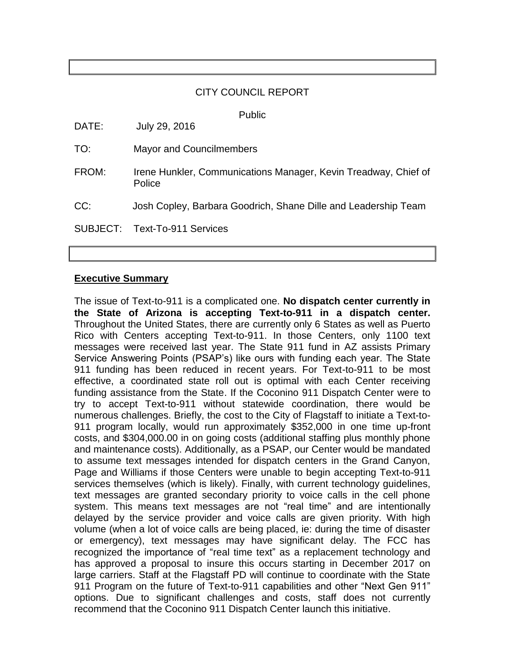## CITY COUNCIL REPORT

Public

| DATE: | July 29, 2016                                                             |
|-------|---------------------------------------------------------------------------|
| TO:   | <b>Mayor and Councilmembers</b>                                           |
| FROM: | Irene Hunkler, Communications Manager, Kevin Treadway, Chief of<br>Police |
| CC:   | Josh Copley, Barbara Goodrich, Shane Dille and Leadership Team            |
|       | SUBJECT: Text-To-911 Services                                             |
|       |                                                                           |

## **Executive Summary**

The issue of Text-to-911 is a complicated one. **No dispatch center currently in the State of Arizona is accepting Text-to-911 in a dispatch center.**  Throughout the United States, there are currently only 6 States as well as Puerto Rico with Centers accepting Text-to-911. In those Centers, only 1100 text messages were received last year. The State 911 fund in AZ assists Primary Service Answering Points (PSAP's) like ours with funding each year. The State 911 funding has been reduced in recent years. For Text-to-911 to be most effective, a coordinated state roll out is optimal with each Center receiving funding assistance from the State. If the Coconino 911 Dispatch Center were to try to accept Text-to-911 without statewide coordination, there would be numerous challenges. Briefly, the cost to the City of Flagstaff to initiate a Text-to-911 program locally, would run approximately \$352,000 in one time up-front costs, and \$304,000.00 in on going costs (additional staffing plus monthly phone and maintenance costs). Additionally, as a PSAP, our Center would be mandated to assume text messages intended for dispatch centers in the Grand Canyon, Page and Williams if those Centers were unable to begin accepting Text-to-911 services themselves (which is likely). Finally, with current technology guidelines, text messages are granted secondary priority to voice calls in the cell phone system. This means text messages are not "real time" and are intentionally delayed by the service provider and voice calls are given priority. With high volume (when a lot of voice calls are being placed, ie: during the time of disaster or emergency), text messages may have significant delay. The FCC has recognized the importance of "real time text" as a replacement technology and has approved a proposal to insure this occurs starting in December 2017 on large carriers. Staff at the Flagstaff PD will continue to coordinate with the State 911 Program on the future of Text-to-911 capabilities and other "Next Gen 911" options. Due to significant challenges and costs, staff does not currently recommend that the Coconino 911 Dispatch Center launch this initiative.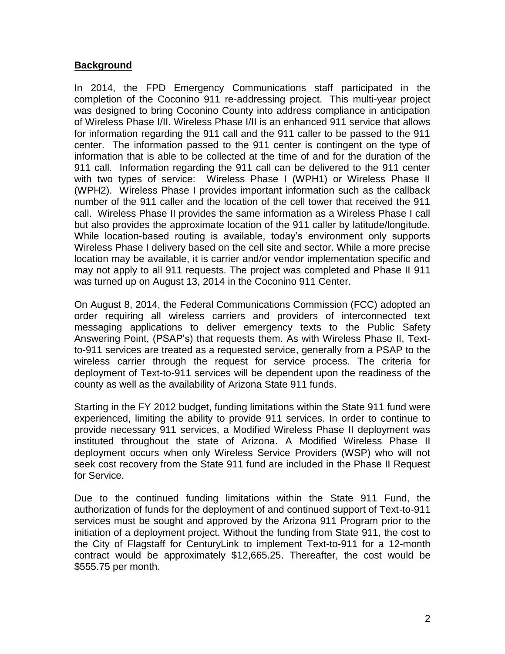## **Background**

In 2014, the FPD Emergency Communications staff participated in the completion of the Coconino 911 re-addressing project. This multi-year project was designed to bring Coconino County into address compliance in anticipation of Wireless Phase I/II. Wireless Phase I/II is an enhanced 911 service that allows for information regarding the 911 call and the 911 caller to be passed to the 911 center. The information passed to the 911 center is contingent on the type of information that is able to be collected at the time of and for the duration of the 911 call. Information regarding the 911 call can be delivered to the 911 center with two types of service: Wireless Phase I (WPH1) or Wireless Phase II (WPH2). Wireless Phase I provides important information such as the callback number of the 911 caller and the location of the cell tower that received the 911 call. Wireless Phase II provides the same information as a Wireless Phase I call but also provides the approximate location of the 911 caller by latitude/longitude. While location-based routing is available, today's environment only supports Wireless Phase I delivery based on the cell site and sector. While a more precise location may be available, it is carrier and/or vendor implementation specific and may not apply to all 911 requests. The project was completed and Phase II 911 was turned up on August 13, 2014 in the Coconino 911 Center.

On August 8, 2014, the Federal Communications Commission (FCC) adopted an order requiring all wireless carriers and providers of interconnected text messaging applications to deliver emergency texts to the Public Safety Answering Point, (PSAP's) that requests them. As with Wireless Phase II, Textto-911 services are treated as a requested service, generally from a PSAP to the wireless carrier through the request for service process. The criteria for deployment of Text-to-911 services will be dependent upon the readiness of the county as well as the availability of Arizona State 911 funds.

Starting in the FY 2012 budget, funding limitations within the State 911 fund were experienced, limiting the ability to provide 911 services. In order to continue to provide necessary 911 services, a Modified Wireless Phase II deployment was instituted throughout the state of Arizona. A Modified Wireless Phase II deployment occurs when only Wireless Service Providers (WSP) who will not seek cost recovery from the State 911 fund are included in the Phase II Request for Service.

Due to the continued funding limitations within the State 911 Fund, the authorization of funds for the deployment of and continued support of Text-to-911 services must be sought and approved by the Arizona 911 Program prior to the initiation of a deployment project. Without the funding from State 911, the cost to the City of Flagstaff for CenturyLink to implement Text-to-911 for a 12-month contract would be approximately \$12,665.25. Thereafter, the cost would be \$555.75 per month.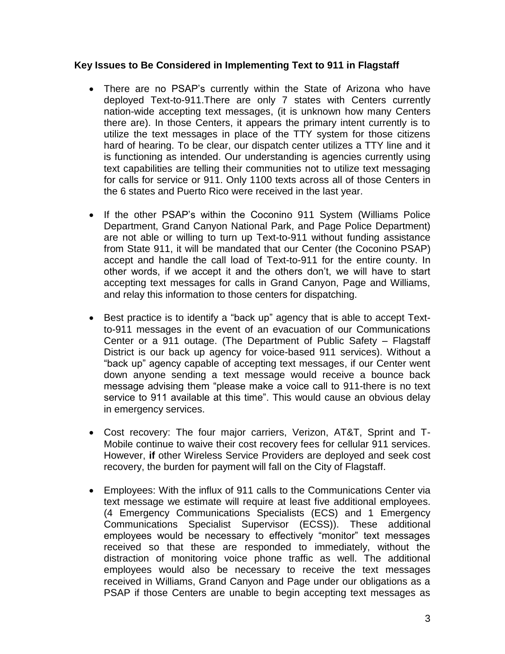## **Key Issues to Be Considered in Implementing Text to 911 in Flagstaff**

- There are no PSAP's currently within the State of Arizona who have deployed Text-to-911.There are only 7 states with Centers currently nation-wide accepting text messages, (it is unknown how many Centers there are). In those Centers, it appears the primary intent currently is to utilize the text messages in place of the TTY system for those citizens hard of hearing. To be clear, our dispatch center utilizes a TTY line and it is functioning as intended. Our understanding is agencies currently using text capabilities are telling their communities not to utilize text messaging for calls for service or 911. Only 1100 texts across all of those Centers in the 6 states and Puerto Rico were received in the last year.
- If the other PSAP's within the Coconino 911 System (Williams Police Department, Grand Canyon National Park, and Page Police Department) are not able or willing to turn up Text-to-911 without funding assistance from State 911, it will be mandated that our Center (the Coconino PSAP) accept and handle the call load of Text-to-911 for the entire county. In other words, if we accept it and the others don't, we will have to start accepting text messages for calls in Grand Canyon, Page and Williams, and relay this information to those centers for dispatching.
- Best practice is to identify a "back up" agency that is able to accept Textto-911 messages in the event of an evacuation of our Communications Center or a 911 outage. (The Department of Public Safety – Flagstaff District is our back up agency for voice-based 911 services). Without a "back up" agency capable of accepting text messages, if our Center went down anyone sending a text message would receive a bounce back message advising them "please make a voice call to 911-there is no text service to 911 available at this time". This would cause an obvious delay in emergency services.
- Cost recovery: The four major carriers, Verizon, AT&T, Sprint and T-Mobile continue to waive their cost recovery fees for cellular 911 services. However, **if** other Wireless Service Providers are deployed and seek cost recovery, the burden for payment will fall on the City of Flagstaff.
- Employees: With the influx of 911 calls to the Communications Center via text message we estimate will require at least five additional employees. (4 Emergency Communications Specialists (ECS) and 1 Emergency Communications Specialist Supervisor (ECSS)). These additional employees would be necessary to effectively "monitor" text messages received so that these are responded to immediately, without the distraction of monitoring voice phone traffic as well. The additional employees would also be necessary to receive the text messages received in Williams, Grand Canyon and Page under our obligations as a PSAP if those Centers are unable to begin accepting text messages as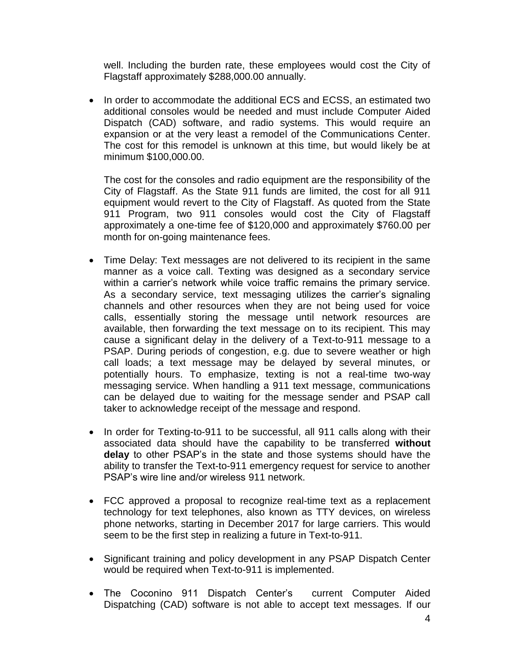well. Including the burden rate, these employees would cost the City of Flagstaff approximately \$288,000.00 annually.

• In order to accommodate the additional ECS and ECSS, an estimated two additional consoles would be needed and must include Computer Aided Dispatch (CAD) software, and radio systems. This would require an expansion or at the very least a remodel of the Communications Center. The cost for this remodel is unknown at this time, but would likely be at minimum \$100,000.00.

The cost for the consoles and radio equipment are the responsibility of the City of Flagstaff. As the State 911 funds are limited, the cost for all 911 equipment would revert to the City of Flagstaff. As quoted from the State 911 Program, two 911 consoles would cost the City of Flagstaff approximately a one-time fee of \$120,000 and approximately \$760.00 per month for on-going maintenance fees.

- Time Delay: Text messages are not delivered to its recipient in the same manner as a voice call. Texting was designed as a secondary service within a carrier's network while voice traffic remains the primary service. As a secondary service, text messaging utilizes the carrier's signaling channels and other resources when they are not being used for voice calls, essentially storing the message until network resources are available, then forwarding the text message on to its recipient. This may cause a significant delay in the delivery of a Text-to-911 message to a PSAP. During periods of congestion, e.g. due to severe weather or high call loads; a text message may be delayed by several minutes, or potentially hours. To emphasize, texting is not a real-time two-way messaging service. When handling a 911 text message, communications can be delayed due to waiting for the message sender and PSAP call taker to acknowledge receipt of the message and respond.
- In order for Texting-to-911 to be successful, all 911 calls along with their associated data should have the capability to be transferred **without delay** to other PSAP's in the state and those systems should have the ability to transfer the Text-to-911 emergency request for service to another PSAP's wire line and/or wireless 911 network.
- FCC approved a proposal to recognize real-time text as a replacement technology for text telephones, also known as TTY devices, on wireless phone networks, starting in December 2017 for large carriers. This would seem to be the first step in realizing a future in Text-to-911.
- Significant training and policy development in any PSAP Dispatch Center would be required when Text-to-911 is implemented.
- The Coconino 911 Dispatch Center's current Computer Aided Dispatching (CAD) software is not able to accept text messages. If our